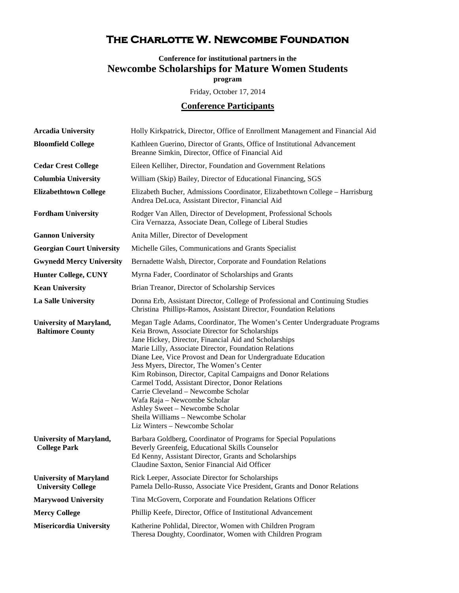## **The Charlotte W. Newcombe Foundation**

## **Conference for institutional partners in the Newcombe Scholarships for Mature Women Students program**

Friday, October 17, 2014

## **Conference Participants**

| <b>Arcadia University</b>                                  | Holly Kirkpatrick, Director, Office of Enrollment Management and Financial Aid                                                                                                                                                                                                                                                                                                                                                                                                                                                                                                                                                                                    |
|------------------------------------------------------------|-------------------------------------------------------------------------------------------------------------------------------------------------------------------------------------------------------------------------------------------------------------------------------------------------------------------------------------------------------------------------------------------------------------------------------------------------------------------------------------------------------------------------------------------------------------------------------------------------------------------------------------------------------------------|
| <b>Bloomfield College</b>                                  | Kathleen Guerino, Director of Grants, Office of Institutional Advancement<br>Breanne Simkin, Director, Office of Financial Aid                                                                                                                                                                                                                                                                                                                                                                                                                                                                                                                                    |
| <b>Cedar Crest College</b>                                 | Eileen Kelliher, Director, Foundation and Government Relations                                                                                                                                                                                                                                                                                                                                                                                                                                                                                                                                                                                                    |
| <b>Columbia University</b>                                 | William (Skip) Bailey, Director of Educational Financing, SGS                                                                                                                                                                                                                                                                                                                                                                                                                                                                                                                                                                                                     |
| <b>Elizabethtown College</b>                               | Elizabeth Bucher, Admissions Coordinator, Elizabethtown College - Harrisburg<br>Andrea DeLuca, Assistant Director, Financial Aid                                                                                                                                                                                                                                                                                                                                                                                                                                                                                                                                  |
| <b>Fordham University</b>                                  | Rodger Van Allen, Director of Development, Professional Schools<br>Cira Vernazza, Associate Dean, College of Liberal Studies                                                                                                                                                                                                                                                                                                                                                                                                                                                                                                                                      |
| <b>Gannon University</b>                                   | Anita Miller, Director of Development                                                                                                                                                                                                                                                                                                                                                                                                                                                                                                                                                                                                                             |
| <b>Georgian Court University</b>                           | Michelle Giles, Communications and Grants Specialist                                                                                                                                                                                                                                                                                                                                                                                                                                                                                                                                                                                                              |
| <b>Gwynedd Mercy University</b>                            | Bernadette Walsh, Director, Corporate and Foundation Relations                                                                                                                                                                                                                                                                                                                                                                                                                                                                                                                                                                                                    |
| <b>Hunter College, CUNY</b>                                | Myrna Fader, Coordinator of Scholarships and Grants                                                                                                                                                                                                                                                                                                                                                                                                                                                                                                                                                                                                               |
| <b>Kean University</b>                                     | Brian Treanor, Director of Scholarship Services                                                                                                                                                                                                                                                                                                                                                                                                                                                                                                                                                                                                                   |
| La Salle University                                        | Donna Erb, Assistant Director, College of Professional and Continuing Studies<br>Christina Phillips-Ramos, Assistant Director, Foundation Relations                                                                                                                                                                                                                                                                                                                                                                                                                                                                                                               |
| <b>University of Maryland,</b><br><b>Baltimore County</b>  | Megan Tagle Adams, Coordinator, The Women's Center Undergraduate Programs<br>Keia Brown, Associate Director for Scholarships<br>Jane Hickey, Director, Financial Aid and Scholarships<br>Marie Lilly, Associate Director, Foundation Relations<br>Diane Lee, Vice Provost and Dean for Undergraduate Education<br>Jess Myers, Director, The Women's Center<br>Kim Robinson, Director, Capital Campaigns and Donor Relations<br>Carmel Todd, Assistant Director, Donor Relations<br>Carrie Cleveland - Newcombe Scholar<br>Wafa Raja - Newcombe Scholar<br>Ashley Sweet - Newcombe Scholar<br>Sheila Williams - Newcombe Scholar<br>Liz Winters - Newcombe Scholar |
| <b>University of Maryland,</b><br><b>College Park</b>      | Barbara Goldberg, Coordinator of Programs for Special Populations<br>Beverly Greenfeig, Educational Skills Counselor<br>Ed Kenny, Assistant Director, Grants and Scholarships<br>Claudine Saxton, Senior Financial Aid Officer                                                                                                                                                                                                                                                                                                                                                                                                                                    |
| <b>University of Maryland</b><br><b>University College</b> | Rick Leeper, Associate Director for Scholarships<br>Pamela Dello-Russo, Associate Vice President, Grants and Donor Relations                                                                                                                                                                                                                                                                                                                                                                                                                                                                                                                                      |
| <b>Marywood University</b>                                 | Tina McGovern, Corporate and Foundation Relations Officer                                                                                                                                                                                                                                                                                                                                                                                                                                                                                                                                                                                                         |
| <b>Mercy College</b>                                       | Phillip Keefe, Director, Office of Institutional Advancement                                                                                                                                                                                                                                                                                                                                                                                                                                                                                                                                                                                                      |
| <b>Misericordia University</b>                             | Katherine Pohlidal, Director, Women with Children Program<br>Theresa Doughty, Coordinator, Women with Children Program                                                                                                                                                                                                                                                                                                                                                                                                                                                                                                                                            |